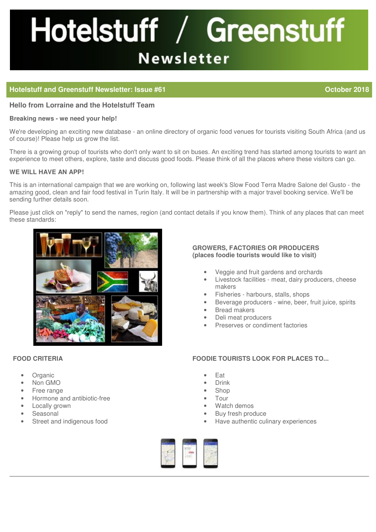# Hotelstuff / Greenstuff **Newsletter**

# **Hotelstuff and Greenstuff Newsletter: Issue #61 Contained a Contained Acts and Contained Acts and Corporation Contained Acts** and Corporation Contained Acts and Corporation Contained Acts and Contained Acts and Containe

**Hello from Lorraine and the Hotelstuff Team**

#### **Breaking news - we need your help!**

We're developing an exciting new database - an online directory of organic food venues for tourists visiting South Africa (and us of course)! Please help us grow the list.

There is a growing group of tourists who don't only want to sit on buses. An exciting trend has started among tourists to want an experience to meet others, explore, taste and discuss good foods. Please think of all the places where these visitors can go.

## **WE WILL HAVE AN APP!**

This is an international campaign that we are working on, following last week's Slow Food Terra Madre Salone del Gusto - the amazing good, clean and fair food festival in Turin Italy. It will be in partnership with a major travel booking service. We'll be sending further details soon.

Please just click on "reply" to send the names, region (and contact details if you know them). Think of any places that can meet these standards:



# **FOOD CRITERIA**

- Organic
- Non GMO
- Free range
- Hormone and antibiotic-free
- Locally grown
- Seasonal
- Street and indigenous food

## **GROWERS, FACTORIES OR PRODUCERS (places foodie tourists would like to visit)**

- Veggie and fruit gardens and orchards
- Livestock facilities meat, dairy producers, cheese makers
- Fisheries harbours, stalls, shops
- Beverage producers wine, beer, fruit juice, spirits
- Bread makers
- Deli meat producers
- Preserves or condiment factories

# **FOODIE TOURISTS LOOK FOR PLACES TO...**

- Eat
- Drink
- Shop
- Tour
- Watch demos
- Buy fresh produce
- Have authentic culinary experiences

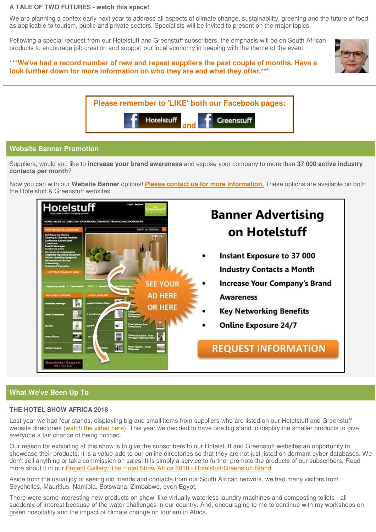#### **A TALE OF TWO FUTURES - watch this space!**

We are planning a confex early next year to address all aspects of climate change, sustainability, greening and the future of food as applicable to tourism, public and private sectors. Specialists will be invited to present on the major topics.

Following a special request from our Hotelstuff and Greenstuff subscribers, the emphasis will be on South African products to encourage job creation and support our local economy in keeping with the theme of the event.

## **\*\*\*We've had a record number of new and repeat suppliers the past couple of months. Have a look further down for more information on who they are and what they offer.\*\*\***





# **Website Banner Promotion**

Suppliers, would you like to **increase your brand awareness** and expose your company to more than **37 000 active industry contacts per month**?

Now you can with our **Website Banner** options! **[Please contact us for more information.](mailto:contact@hotelstuff.co.za?subject=Banner Enquiry)** These options are available on both the Hotelstuff & Greenstuff websites.



# **What We've Been Up To**

#### **THE HOTEL SHOW AFRICA 2018**

Last year we had four stands, displaying big and small items from suppliers who are listed on our Hotelstuff and Greenstuff website directories (watch the video here). This year we decided to have one big stand to display the smaller products to give everyone a fair chance of being noticed.

Our reason for exhibiting at this show is to give the subscribers to our Hotelstuff and Greenstuff websites an opportunity to [showcase their products. It is a value-add to our online directories so that they are not just listed on dormant cyber databases. We](http://www.hotelstuff.co.za/content/page/project-gallery-the-hotel-show-africa-2018-hotelstuff-greenstuff-stand)  don't sell anything or take commission on sales. It is simply a service to further promote the products of our subscribers. Read more about it in our Project Gallery: The Hotel Show Africa 2018 - Hotelstuff/Greenstuff Stand.

Aside from the usual joy of seeing old friends and contacts from our South African network, we had many visitors from Seychelles, Mauritius, Namibia, Botswana, Zimbabwe, even Egypt.

There were some interesting new products on show, like virtually waterless laundry machines and composting toilets - all suddenly of interest because of the water challenges in our country. And, encouraging to me to continue with my workshops on green hospitality and the impact of climate change on tourism in Africa.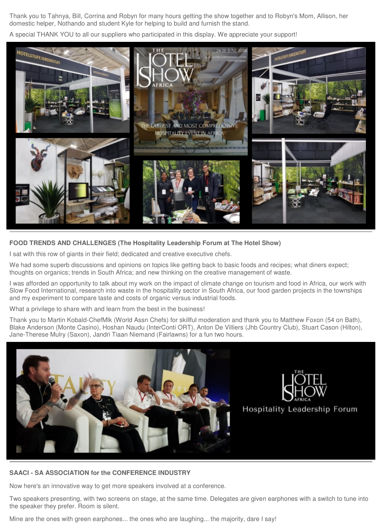Thank you to Tahnya, Bill, Corrina and Robyn for many hours getting the show together and to Robyn's Mom, Allison, her domestic helper, Nothando and student Kyle for helping to build and furnish the stand.

A special THANK YOU to all our suppliers who participated in this display. We appreciate your support!



# **FOOD TRENDS AND CHALLENGES (The Hospitality Leadership Forum at The Hotel Show)**

I sat with this row of giants in their field; dedicated and creative executive chefs.

We had some superb discussions and opinions on topics like getting back to basic foods and recipes; what diners expect; thoughts on organics; trends in South Africa; and new thinking on the creative management of waste.

I was afforded an opportunity to talk about my work on the impact of climate change on tourism and food in Africa, our work with Slow Food International, research into waste in the hospitality sector in South Africa, our food garden projects in the townships and my experiment to compare taste and costs of organic versus industrial foods.

What a privilege to share with and learn from the best in the business!

Thank you to Martin Kobald-ChefMlk (World Assn Chefs) for skillful moderation and thank you to Matthew Foxon (54 on Bath), Blake Anderson (Monte Casino), Hoshan Naudu (InterConti ORT), Anton De Villiers (Jhb Country Club), Stuart Cason (Hilton), Jane-Therese Mulry (Saxon), Jandri Tiaan Niemand (Fairlawns) for a fun two hours.





**Hospitality Leadership Forum** 

#### **SAACI - SA ASSOCIATION for the CONFERENCE INDUSTRY**

Now here's an innovative way to get more speakers involved at a conference.

Two speakers presenting, with two screens on stage, at the same time. Delegates are given earphones with a switch to tune into the speaker they prefer. Room is silent.

Mine are the ones with green earphones... the ones who are laughing... the majority, dare I say!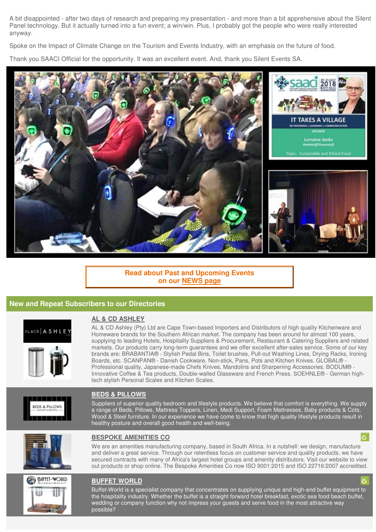A bit disappointed - after two days of research and preparing my presentation - and more than a bit apprehensive about the Silent Panel technology. But it actually turned into a fun event; a win/win. Plus, I probably got the people who were really interested anyway.

Spoke on the Impact of Climate Change on the Tourism and Events Industry, with an emphasis on the future of food.

Thank you SAACI Official for the opportunity. It was an excellent event. And, thank you Silent Events SA.



# **[Read about Past and Upcoming Events](http://www.hotelstuff.co.za/content/page/news) on our NEWS page**

# **New and Repeat Subscribers to our Directories**



#### **AL & CD ASHLEY**

AL & CD Ashley (Pty) Ltd are Cape Town-based Importers and Distributors of high quality Kitchenware and Homeware brands for the Southern African market. The company has been around for almost 100 years, [supplying to leading Hotels, Hospitality Suppliers & Procurement, Restaurant & Catering Suppliers and related](http://www.hotelstuff.co.za/suppliers/entry/al-cd-ashley-pty-ltd)  markets. Our products carry long-term guarantees and we offer excellent after-sales service. Some of our key brands are: BRABANTIA® - Stylish Pedal Bins, Toilet brushes, Pull-out Washing Lines, Drying Racks, Ironing Boards, etc. SCANPAN® - Danish Cookware, Non-stick, Pans, Pots and Kitchen Knives. GLOBAL® - Professional quality, Japanese-made Chefs Knives, Mandolins and Sharpening Accessories. BODUM® - Innovative Coffee & Tea products, Double-walled Glassware and French Press. SOEHNLE® - German hightech stylish Personal Scales and Kitchen Scales.



#### **BEDS & PILLOWS**

[Suppliers of superior quality bedroom and lifestyle products. We believe that comfort is everything. We supply](http://www.hotelstuff.co.za/suppliers/entry/beds-pillows)  a range of Beds, Pillows, Mattress Toppers, Linen, Medi Support, Foam Mattresses, Baby products & Cots, Wood & Steel furniture. In our experience we have come to know that high quality lifestyle products result in healthy posture and overall good health and well-being.



**SUFFET-WORLD** 

#### **BESPOKE AMENITIES CO**

We are an amenities manufacturing company, based in South Africa. In a nutshell: we design, manufacture and deliver a great service. Through our relentless focus on customer service and quality products, we have [secured contracts with many of Africa's largest hotel groups and amenity distributors. Visit our website to view](http://www.hotelstuff.co.za/suppliers/entry/just-so-collection)  out products or shop online. The Bespoke Amenities Co now ISO 9001:2015 and ISO 22716:2007 accredited.

#### **BUFFET WORLD**

[Buffet-World is a specialist company that concentrates on supplying unique and high-end buffet equipment to](http://www.hotelstuff.co.za/suppliers/entry/buffet-worl)  the hospitality industry. Whether the buffet is a straight forward hotel breakfast, exotic sea food beach buffet, wedding or company function why not impress your guests and serve food in the most attractive way possible?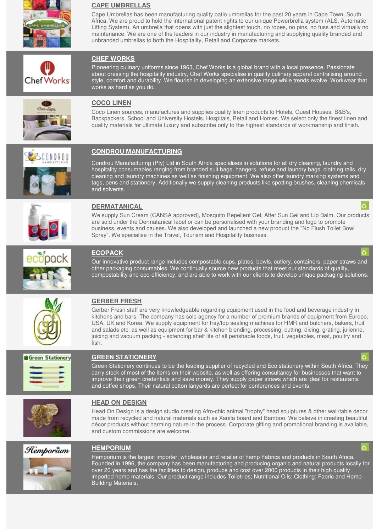

# **CAPE UMBRELLAS**

Cape Umbrellas has been manufacturing quality patio umbrellas for the past 20 years in Cape Town, South Africa. We are proud to hold the international patent rights to our unique Powerbrella system (ALS, Automatic [Lifting System\). An umbrella that opens with just the slightest touch, no ropes, no pins, no fuss and virtually no](http://www.hotelstuff.co.za/suppliers/entry/cape-umbrellas1)  maintenance. We are one of the leaders in our industry in manufacturing and supplying quality branded and unbranded umbrellas to both the Hospitality, Retail and Corporate markets.

# **CHEF WORKS**

Pioneering culinary uniforms since 1963, Chef Works is a global brand with a local presence. Passionate about dressing the hospitality industry, Chef Works specialise in quality culinary apparel centralising around [style, comfort and durability. We flourish in developing an extensive range while trends evolve. Workwear that](http://www.hotelstuff.co.za/suppliers/entry/chef-works-south-africa)  works as hard as you do.



**Chef Works** 

# **COCO LINEN**

Coco Linen sources, manufactures and supplies quality linen products to Hotels, Guest Houses, B&B's, [Backpackers, School and University Hostels, Hospitals, Retail and Homes. We select only the finest linen and](http://www.hotelstuff.co.za/suppliers/entry/coco-linen)  quality materials for ultimate luxury and subscribe only to the highest standards of workmanship and finish.



# **CONDROU MANUFACTURING**

Condrou Manufacturing (Pty) Ltd in South Africa specialises in solutions for all dry cleaning, laundry and [hospitality consumables ranging from branded suit bags, hangers, refuse and laundry bags, clothing rails, dry](http://www.hotelstuff.co.za/suppliers/entry/condrou-manufacturing-pty-ltd)  cleaning and laundry machines as well as finishing equipment. We also offer laundry marking systems and tags, pens and stationery. Additionally we supply cleaning products like spotting brushes, cleaning chemicals and solvents.



## **DERMATANICAL**

[We supply Sun Cream \(CANSA approved\), Mosquito Repellent Gel, After Sun Gel and Lip Balm. Our products](http://www.hotelstuff.co.za/suppliers/entry/dermatanical)  are sold under the Dermatanical label or can be personalised with your branding and logo to promote business, events and causes. We also developed and launched a new product the "No Flush Toilet Bowl Spray". We specialise in the Travel, Tourism and Hospitality business.



## **ECOPACK**

Our innovative product range includes compostable cups, plates, bowls, cutlery, containers, paper straws and other packaging consumables. We continually source new products that meet our standards of quality, [compostability and eco-efficiency, and are able to work with our clients to develop unique packaging solutions.](http://www.hotelstuff.co.za/suppliers/entry/ecopack)



## **GERBER FRESH**

Gerber Fresh staff are very knowledgeable regarding equipment used in the food and beverage industry in [kitchens and bars. The company has sole agency for a number of premium brands of equipment from Europe,](http://www.hotelstuff.co.za/suppliers/entry/gerber-fresh-pty-ltd) USA, UK and Korea. We supply equipment for tray/top sealing machines for HMR and butchers, bakers, fruit and salads etc. as well as equipment for bar & kitchen blending, processing, cutting, dicing, grating, julienne, juicing and vacuum packing - extending shelf life of all perishable foods, fruit, vegetables, meat, poultry and fish.



#### **GREEN STATIONERY**

[Green Stationery continues to be the leading supplier of recycled and Eco stationery within South Africa. They](http://www.hotelstuff.co.za/suppliers/entry/green-stationery)  carry stock of most of the items on their website, as well as offering consultancy for businesses that want to improve their green credentials and save money. They supply paper straws which are ideal for restaurants and coffee shops. Their natural cotton lanyards are perfect for conferences and events.



# **HEAD ON DESIGN**

Head On Design is a design studio creating Afro-chic animal "trophy" head sculptures & other wall/table decor made from recycled and natural materials such as Xanita board and Bamboo. We believe in creating beautiful [décor products without harming nature in the process. Corporate gifting and promotional branding is available,](http://www.hotelstuff.co.za/suppliers/entry/head-on-design)  and custom commissions are welcome.



#### **HEMPORIUM**

Hemporium is the largest importer, wholesaler and retailer of hemp Fabrics and products in South Africa. [Founded in 1996, the company has been manufacturing and producing organic and natural products locally for](http://www.hotelstuff.co.za/suppliers/entry/hemporium)  over 20 years and has the facilities to design, produce and cost over 2000 products in their high quality imported hemp materials. Our product range includes Toiletries; Nutritional Oils; Clothing; Fabric and Hemp Building Materials.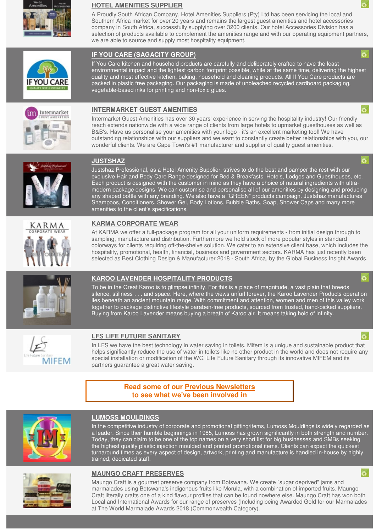

#### **HOTEL AMENITIES SUPPLIER**

A Proudly South African Company, Hotel Amenities Suppliers (Pty) Ltd has been servicing the local and Southern Africa market for over 20 years and remains the largest guest amenities and hotel accessories company in South Africa, successfully supplying over 3200 clients. Our hotel Accessories Division has a [selection of products available to complement the amenities range and with our operating equipment partners,](http://www.hotelstuff.co.za/suppliers/entry/hotel-amenities-suppliers)  we are able to source and supply most hospitality equipment.

## **IF YOU CARE (SAGACITY GROUP)**

If You Care kitchen and household products are carefully and deliberately crafted to have the least [environmental impact and the lightest carbon footprint possible, while at the same time, delivering the highest](http://www.hotelstuff.co.za/suppliers/entry/if-you-care-distributed-by-sagacity-group)  quality and most effective kitchen, baking, household and cleaning products. All If You Care products are packed in plastic free packaging. Our packaging is made of unbleached recycled cardboard packaging, vegetable-based inks for printing and non-toxic glues.



#### **INTERMARKET GUEST AMENITIES**

Intermarket Guest Amenities has over 30 years' experience in serving the hospitality industry! Our friendly reach extends nationwide with a wide range of clients from large hotels to upmarket guesthouses as well as B&B's. Have us personalise your amenities with your logo - it's an excellent marketing tool! We have [outstanding relationships with our suppliers and we want to constantly create better relationships with you, our](http://www.hotelstuff.co.za/suppliers/entry/intermarket-guest-amenities)  wonderful clients. We are Cape Town's #1 manufacturer and supplier of quality guest amenities.



## **JUSTSHAZ**

Justshaz Professional, as a Hotel Amenity Supplier, strives to do the best and pamper the rest with our exclusive Hair and Body Care Range designed for Bed & Breakfasts, Hotels, Lodges and Guesthouses, etc. Each product is designed with the customer in mind as they have a choice of natural ingredients with ultra[modern package designs. We can customise and personalise all of our amenities by designing and producing](http://www.hotelstuff.co.za/suppliers/entry/justshaz-professional)  any shaped bottle with any branding. We also have a "GREEN" products campaign. Justshaz manufactures Shampoos, Conditioners, Shower Gel, Body Lotions, Bubble Baths, Soap, Shower Caps and many more amenities to the client's specifications.



## **KARMA CORPORATE WEAR**

At KARMA we offer a full-package program for all your uniform requirements - from initial design through to sampling, manufacture and distribution. Furthermore we hold stock of more popular styles in standard [colorways for clients requiring off-the-shelve solution. We cater to an extensive client base, which includes the](http://www.hotelstuff.co.za/suppliers/entry/karma-corporate-wear)  hospitality, promotional, health, financial, business and government sectors. KARMA has just recently been selected as Best Clothing Design & Manufacturer 2018 - South Africa, by the Global Business Insight Awards.



#### **KAROO LAVENDER HOSPITALITY PRODUCTS**

To be in the Great Karoo is to glimpse infinity. For this is a place of magnitude, a vast plain that breeds [silence, stillness . . . and space. Here, where the views unfurl forever, the Karoo Lavender Products operation](http://www.hotelstuff.co.za/suppliers/entry/karoo-lavender)  lies beneath an ancient mountain range. With commitment and attention, women and men of this valley work together to package distinctive lifestyle paraben-free products, sourced from trusted, hand-picked suppliers. Buying from Karoo Lavender means buying a breath of Karoo air. It means taking hold of infinity.



#### **LFS LIFE FUTURE SANITARY**

In LFS we have the best technology in water saving in toilets. Mifem is a unique and sustainable product that [helps significantly reduce the use of water in toilets like no other product in the world and does not require any](http://www.hotelstuff.co.za/suppliers/entry/lfs-life-future-sanitary-limited)  special installation or modification of the WC. Life Future Sanitary through its innovative MIFEM and its partners guarantee a great water saving.

> **[Read some of our Previous Newsletters](http://www.hotelstuff.co.za/content/page_full/previous-newsletters)  to see what we've been involved in**



## **LUMOSS MOULDINGS**

[In the competitive industry of corporate and promotional gifting/items, Lumoss Mouldings is widely regarded as](http://www.hotelstuff.co.za/suppliers/entry/lumoss)  a leader. Since their humble beginnings in 1985, Lumoss has grown significantly in both strength and number. Today, they can claim to be one of the top names on a very short list for big businesses and SMBs seeking the highest quality plastic injection moulded and printed promotional items. Clients can expect the quickest turnaround times as every aspect of design, artwork, printing and manufacture is handled in-house by highly trained, dedicated staff.

ö



## **MAUNGO CRAFT PRESERVES**

Maungo Craft is a gourmet preserve company from Botswana. We create "sugar deprived" jams and marmalades using Botswana's indigenous fruits like Morula, with a combination of imported fruits. Maungo Craft literally crafts one of a kind flavour profiles that can be found nowhere else. Maungo Craft has won both [Local and International Awards for our range of preserves \(Including being Awarded Gold for our Marmalades](http://www.hotelstuff.co.za/suppliers/entry/maungo-craft)  at The World Marmalade Awards 2018 (Commonwealth Category).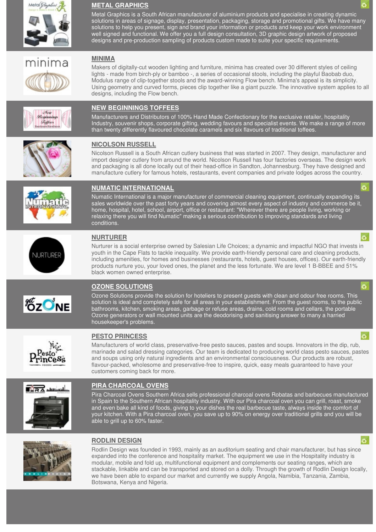

nima

# **METAL GRAPHICS**

Metal Graphics is a South African manufacturer of aluminium products and specialise in creating dynamic [solutions in areas of signage, display, presentation, packaging, storage and promotional gifts. We have many](http://www.hotelstuff.co.za/suppliers/entry/metal-graphics)  solutions to help you present, sign and brand your information or products and keep your work environment well signed and functional. We offer you a full design consultation, 3D graphic design artwork of proposed designs and pre-production sampling of products custom made to suite your specific requirements.

## **MINIMA**

Makers of digitally-cut wooden lighting and furniture, minima has created over 30 different styles of ceiling lights - made from birch-ply or bamboo -, a series of occasional stools, including the playful Baobab duo, Modulus range of clip-together stools and the award-winning Flow bench. Minima's appeal is its simplicity. [Using geometry and curved forms, pieces clip together like a giant puzzle. The innovative system applies to all](http://www.hotelstuff.co.za/suppliers/entry/minima)  designs, including the Flow bench.

#### New Reginaine *Seffees*

## **NEW BEGINNINGS TOFFEES**

Manufacturers and Distributors of 100% Hand Made Confectionary for the exclusive retailer, hospitality [Industry, souvenir shops, corporate gifting, wedding favours and specialist events. We make a range of more](http://www.hotelstuff.co.za/suppliers/entry/new-beginnings-toffees)  than twenty differently flavoured chocolate caramels and six flavours of traditional toffees.

# **NICOLSON RUSSELL**

[Nicolson Russell is a South African cutlery business that was started in 2007. They design, manufacturer and](http://www.hotelstuff.co.za/suppliers/entry/nicolson-russell)  import designer cutlery from around the world. Nicolson Russell has four factories overseas. The design work and packaging is all done locally out of their head-office in Sandton, Johannesburg. They have designed and manufacture cutlery for famous hotels, restaurants, event companies and private lodges across the country.



# **NUMATIC INTERNATIONAL**

Numatic International is a major manufacturer of commercial cleaning equipment, continually expanding its [sales worldwide over the past forty years and covering almost every aspect of industry and commerce be it,](http://www.hotelstuff.co.za/suppliers/entry/numatic-international)  home, hospital, hotel, school, airport, office or restaurant: "Wherever there are people living, working or relaxing there you will find Numatic" making a serious contribution to improving standards and living conditions.



# **NURTURER**

Nurturer is a social enterprise owned by Salesian Life Choices; a dynamic and impactful NGO that invests in youth in the Cape Flats to tackle inequality. We provide earth-friendly personal care and cleaning products, [including amenities, for homes and businesses \(restaurants, hotels, guest houses, offices\). Our earth-friendly](http://www.hotelstuff.co.za/suppliers/entry/nurturer)  products nurture you, your loved ones, the planet and the less fortunate. We are level 1 B-BBEE and 51% black women owned enterprise.



# **OZONE SOLUTIONS**

Ozone Solutions provide the solution for hoteliers to present guests with clean and odour free rooms. This solution is ideal and completely safe for all areas in your establishment. From the guest rooms, to the public bathrooms, kitchen, smoking areas, garbage or refuse areas, drains, cold rooms and cellars, the portable Ozone generators or wall mounted units are the deodorising and sanitising answer to many a harried housekeeper's problems.



# **PESTO PRINCESS**

Manufacturers of world class, preservative-free pesto sauces, pastes and soups. Innovators in the dip, rub, [marinade and salad dressing categories. Our team is dedicated to producing world class pesto sauces, pastes](http://www.hotelstuff.co.za/suppliers/entry/pesto-princess)  and soups using only natural ingredients and an environmental consciousness. Our products are robust, flavour-packed, wholesome and preservative-free to inspire, quick, easy meals guaranteed to have your customers coming back for more.



# **PIRA CHARCOAL OVENS**

[Pira Charcoal Ovens Southern Africa sells professional charcoal ovens Robatas and barbecues manufactured](http://www.hotelstuff.co.za/suppliers/entry/pira-charcoal-ovens)  in Spain to the Southern African hospitality industry. With our Pira charcoal oven you can grill, roast, smoke and even bake all kind of foods, giving to your dishes the real barbecue taste, always inside the comfort of your kitchen. With a Pira charcoal oven, you save up to 90% on energy over traditional grills and you will be able to grill up to 60% faster.



# **RODLIN DESIGN**

Rodlin Design was founded in 1993, mainly as an auditorium seating and chair manufacturer, but has since expanded into the conference and hospitality market. The equipment we use in the Hospitality industry is modular, mobile and fold up, multifunctional equipment and complements our seating ranges, which are [stackable, linkable and can be transported and stored on a dolly. Through the growth of Rodlin Design locally,](http://www.hotelstuff.co.za/suppliers/entry/rodlin-design)  we have been able to expand our market and currently we supply Angola, Namibia, Tanzania, Zambia, Botswana, Kenya and Nigeria.

ĸ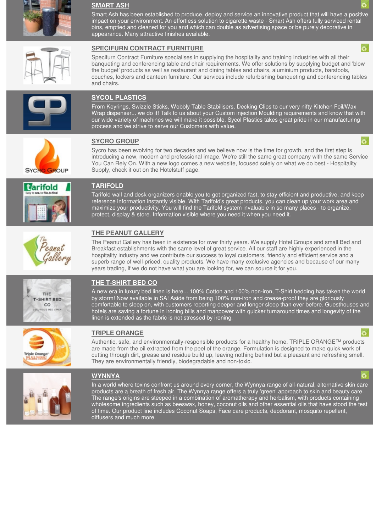

#### **SMART ASH**

[Smart Ash has been established to produce, deploy and service an innovative product that will have a positive](http://www.hotelstuff.co.za/suppliers/entry/smart-ash)  impact on your environment. An effortless solution to cigarette waste - Smart Ash offers fully serviced rental bins, emptied and cleaned for you and which can double as advertising space or be purely decorative in appearance. Many attractive finishes available.



#### **SPECIFURN CONTRACT FURNITURE**

Specifurn Contract Furniture specialises in supplying the hospitality and training industries with all their banqueting and conferencing table and chair requirements. We offer solutions by supplying budget and 'blow the budget' products as well as restaurant and dining tables and chairs, aluminium products, barstools, [couches, lockers and canteen furniture. Our services include refurbishing banqueting and conferencing tables](http://www.hotelstuff.co.za/suppliers/entry/specifurn-contract-furniture)  and chairs.



## **SYCOL PLASTICS**

From Keyrings, Swizzle Sticks, Wobbly Table Stabilisers, Decking Clips to our very nifty Kitchen Foil/Wax [Wrap dispenser... we do it! Talk to us about your Custom injection Moulding requirements and know that with](http://www.hotelstuff.co.za/suppliers/entry/sycol-plastics)  our wide variety of machines we will make it possible. Sycol Plastics takes great pride in our manufacturing process and we strive to serve our Customers with value.



# **SYCRO GROUP** *SYCRO GROUP*

Sycro has been evolving for two decades and we believe now is the time for growth, and the first step is [introducing a new, modern and professional image. We're still the same great company with the same Service](http://www.hotelstuff.co.za/suppliers/entry/sycro-distribution-cc)  You Can Rely On. With a new logo comes a new website, focused solely on what we do best - Hospitality Supply, check it out on the Hotelstuff page.



## **TARIFOLD**

[Tarifold wall and desk organizers enable you to get organized fast, to stay efficient and productive, and keep](http://www.hotelstuff.co.za/suppliers/entry/tarifold)  reference information instantly visible. With Tarifold's great products, you can clean up your work area and maximize your productivity. You will find the Tarifold system invaluable in so many places - to organize, protect, display & store. Information visible where you need it when you need it.



# **THE PEANUT GALLERY**

[The Peanut Gallery has been in existence for over thirty years. We supply Hotel Groups and small Bed and](http://www.hotelstuff.co.za/suppliers/entry/the-peanut-gallery) Breakfast establishments with the same level of great service. All our staff are highly experienced in the hospitality industry and we contribute our success to loyal customers, friendly and efficient service and a superb range of well-priced, quality products. We have many exclusive agencies and because of our many years trading, if we do not have what you are looking for, we can source it for you.



# **THE T-SHIRT BED CO**

A new era in luxury bed linen is here... 100% Cotton and 100% non-iron, T-Shirt bedding has taken the world by storm! Now available in SA! Aside from being 100% non-iron and crease-proof they are gloriously [comfortable to sleep on, with customers reporting deeper and longer sleep than ever before. Guesthouses and](http://www.hotelstuff.co.za/suppliers/entry/t-shirt-bed-co)  hotels are saving a fortune in ironing bills and manpower with quicker turnaround times and longevity of the linen is extended as the fabric is not stressed by ironing.



# **TRIPLE ORANGE**

[Authentic, safe, and environmentally-responsible products for a healthy home. TRIPLE ORANGE™ products](http://www.hotelstuff.co.za/suppliers/entry/triple-orange-manufacturing-cc)  are made from the oil extracted from the peel of the orange. Formulation is designed to make quick work of cutting through dirt, grease and residue build up, leaving nothing behind but a pleasant and refreshing smell. They are environmentally friendly, biodegradable and non-toxic.



#### **WYNNYA**

[In a world where toxins confront us around every corner, the Wynnya range of all-natural, alternative skin care](http://www.hotelstuff.co.za/suppliers/entry/wynnya)  products are a breath of fresh air. The Wynnya range offers a truly 'green' approach to skin and beauty care. The range's origins are steeped in a combination of aromatherapy and herbalism, with products containing wholesome ingredients such as beeswax, honey, coconut oils and other essential oils that have stood the test of time. Our product line includes Coconut Soaps, Face care products, deodorant, mosquito repellent, diffusers and much more.

ö.